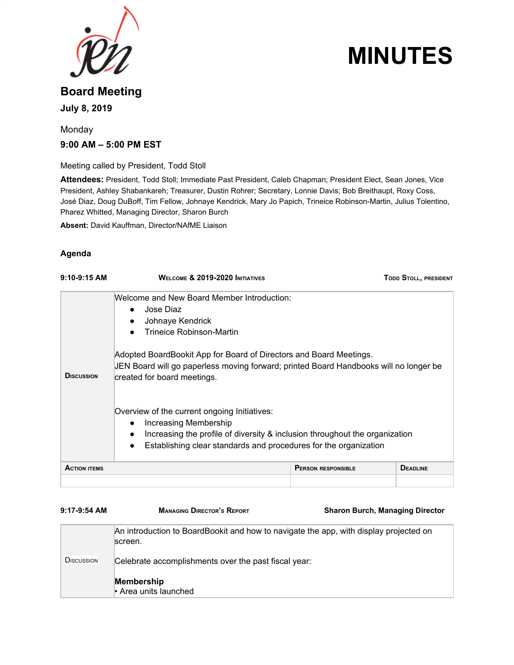

# **MINUTES**

## **Board Meeting July 8, 2019**

## Monday **9:00 AM – 5:00 PM EST**

Meeting called by President, Todd Stoll

**Attendees:** President, Todd Stoll; Immediate Past President, Caleb Chapman; President Elect, Sean Jones, Vice President, Ashley Shabankareh; Treasurer, Dustin Rohrer; Secretary, Lonnie Davis; Bob Breithaupt, Roxy Coss, José Diaz, Doug DuBoff, Tim Fellow, Johnaye Kendrick, Mary Jo Papich, Trineice Robinson-Martin, Julius Tolentino, Pharez Whitted, Managing Director, Sharon Burch

**Absent:** David Kauffman, Director/NAfME Liaison

#### **Agenda**

| $9:10-9:15$ AM      | <b>WELCOME &amp; 2019-2020 INITIATIVES</b>                                                                                                                                                                                                                                                                                                                                                                            |                           | TODD STOLL, PRESIDENT |
|---------------------|-----------------------------------------------------------------------------------------------------------------------------------------------------------------------------------------------------------------------------------------------------------------------------------------------------------------------------------------------------------------------------------------------------------------------|---------------------------|-----------------------|
| <b>DISCUSSION</b>   | Welcome and New Board Member Introduction:<br>Jose Diaz<br>$\bullet$<br>Johnaye Kendrick<br>$\bullet$<br>Trineice Robinson-Martin<br>Adopted BoardBookit App for Board of Directors and Board Meetings.<br>JEN Board will go paperless moving forward; printed Board Handbooks will no longer be<br>created for board meetings.<br>Overview of the current ongoing Initiatives:<br>Increasing Membership<br>$\bullet$ |                           |                       |
|                     | Increasing the profile of diversity & inclusion throughout the organization<br>$\bullet$<br>Establishing clear standards and procedures for the organization<br>$\bullet$                                                                                                                                                                                                                                             |                           |                       |
| <b>ACTION ITEMS</b> |                                                                                                                                                                                                                                                                                                                                                                                                                       | <b>PERSON RESPONSIBLE</b> | <b>DEADLINE</b>       |
|                     |                                                                                                                                                                                                                                                                                                                                                                                                                       |                           |                       |

| $9:17-9:54$ AM     | <b>MANAGING DIRECTOR'S REPORT</b>                                                                | <b>Sharon Burch, Managing Director</b> |
|--------------------|--------------------------------------------------------------------------------------------------|----------------------------------------|
|                    | An introduction to BoardBookit and how to navigate the app, with display projected on<br>screen. |                                        |
| <b>D</b> ISCUSSION | Celebrate accomplishments over the past fiscal year:                                             |                                        |
|                    | Membership<br>• Area units launched                                                              |                                        |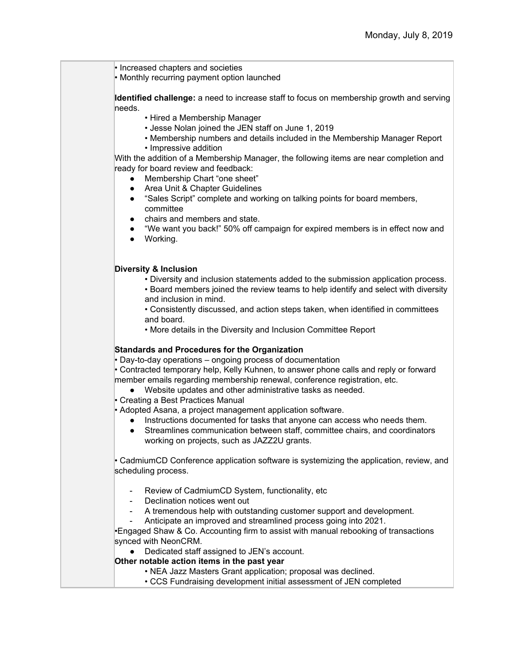• Increased chapters and societies

• Monthly recurring payment option launched

**Identified challenge:** a need to increase staff to focus on membership growth and serving needs.

- Hired a Membership Manager
- Jesse Nolan joined the JEN staff on June 1, 2019
- Membership numbers and details included in the Membership Manager Report
- Impressive addition

With the addition of a Membership Manager, the following items are near completion and ready for board review and feedback:

- Membership Chart "one sheet"
- Area Unit & Chapter Guidelines
- "Sales Script" complete and working on talking points for board members, committee
- chairs and members and state.
- "We want you back!" 50% off campaign for expired members is in effect now and
- Working.

#### **Diversity & Inclusion**

- Diversity and inclusion statements added to the submission application process.
- Board members joined the review teams to help identify and select with diversity and inclusion in mind.

• Consistently discussed, and action steps taken, when identified in committees and board.

• More details in the Diversity and Inclusion Committee Report

#### **Standards and Procedures for the Organization**

• Day-to-day operations – ongoing process of documentation

• Contracted temporary help, Kelly Kuhnen, to answer phone calls and reply or forward member emails regarding membership renewal, conference registration, etc.

● Website updates and other administrative tasks as needed.

• Creating a Best Practices Manual

- Adopted Asana, a project management application software.
	- Instructions documented for tasks that anyone can access who needs them.
	- Streamlines communication between staff, committee chairs, and coordinators working on projects, such as JAZZ2U grants.

• CadmiumCD Conference application software is systemizing the application, review, and scheduling process.

- Review of CadmiumCD System, functionality, etc.
- Declination notices went out
- A tremendous help with outstanding customer support and development.
- Anticipate an improved and streamlined process going into 2021.

•Engaged Shaw & Co. Accounting firm to assist with manual rebooking of transactions synced with NeonCRM.

● Dedicated staff assigned to JEN's account.

#### **Other notable action items in the past year**

- NEA Jazz Masters Grant application; proposal was declined.
- CCS Fundraising development initial assessment of JEN completed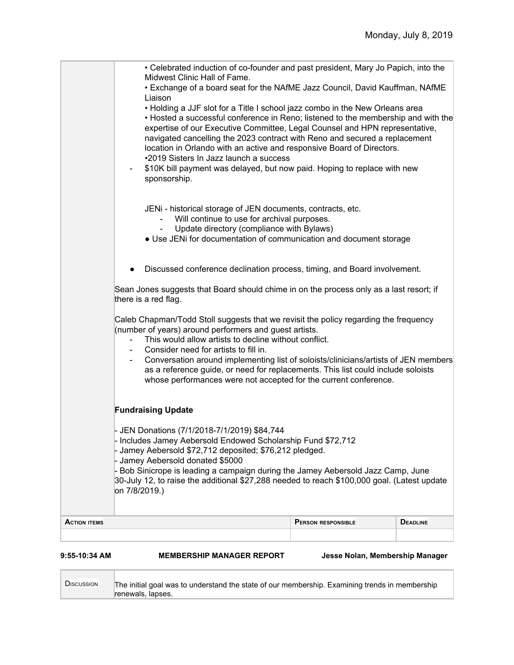| 9:55-10:34 AM       | <b>MEMBERSHIP MANAGER REPORT</b>                                                                                                                                                                                                                                                                                                                                                                                                                                                                                                                         | Jesse Nolan, Membership Manager |                 |
|---------------------|----------------------------------------------------------------------------------------------------------------------------------------------------------------------------------------------------------------------------------------------------------------------------------------------------------------------------------------------------------------------------------------------------------------------------------------------------------------------------------------------------------------------------------------------------------|---------------------------------|-----------------|
| <b>ACTION ITEMS</b> |                                                                                                                                                                                                                                                                                                                                                                                                                                                                                                                                                          | <b>PERSON RESPONSIBLE</b>       | <b>DEADLINE</b> |
|                     | - JEN Donations (7/1/2018-7/1/2019) \$84,744<br>- Includes Jamey Aebersold Endowed Scholarship Fund \$72,712<br>- Jamey Aebersold \$72,712 deposited; \$76,212 pledged.<br>- Jamey Aebersold donated \$5000<br>- Bob Sinicrope is leading a campaign during the Jamey Aebersold Jazz Camp, June<br>30-July 12, to raise the additional \$27,288 needed to reach \$100,000 goal. (Latest update<br>on 7/8/2019.)                                                                                                                                          |                                 |                 |
|                     | <b>Fundraising Update</b>                                                                                                                                                                                                                                                                                                                                                                                                                                                                                                                                |                                 |                 |
|                     | Caleb Chapman/Todd Stoll suggests that we revisit the policy regarding the frequency<br>(number of years) around performers and guest artists.<br>This would allow artists to decline without conflict.<br>Consider need for artists to fill in.<br>Conversation around implementing list of soloists/clinicians/artists of JEN members<br>as a reference guide, or need for replacements. This list could include soloists<br>whose performances were not accepted for the current conference.                                                          |                                 |                 |
|                     | Sean Jones suggests that Board should chime in on the process only as a last resort; if<br>there is a red flag.                                                                                                                                                                                                                                                                                                                                                                                                                                          |                                 |                 |
|                     | Discussed conference declination process, timing, and Board involvement.                                                                                                                                                                                                                                                                                                                                                                                                                                                                                 |                                 |                 |
|                     | JENi - historical storage of JEN documents, contracts, etc.<br>Will continue to use for archival purposes.<br>$\blacksquare$<br>Update directory (compliance with Bylaws)<br>$\blacksquare$<br>• Use JENi for documentation of communication and document storage                                                                                                                                                                                                                                                                                        |                                 |                 |
|                     | Liaison<br>• Holding a JJF slot for a Title I school jazz combo in the New Orleans area<br>• Hosted a successful conference in Reno; listened to the membership and with the<br>expertise of our Executive Committee, Legal Counsel and HPN representative,<br>navigated cancelling the 2023 contract with Reno and secured a replacement<br>location in Orlando with an active and responsive Board of Directors.<br>•2019 Sisters In Jazz launch a success<br>\$10K bill payment was delayed, but now paid. Hoping to replace with new<br>sponsorship. |                                 |                 |
|                     | • Celebrated induction of co-founder and past president, Mary Jo Papich, into the<br>Midwest Clinic Hall of Fame.<br>. Exchange of a board seat for the NAfME Jazz Council, David Kauffman, NAfME                                                                                                                                                                                                                                                                                                                                                        |                                 |                 |

| <b>DISCUSSION</b> | The initial goal was to understand the state of our membership. Examining trends in membership<br>renewals, lapses. |
|-------------------|---------------------------------------------------------------------------------------------------------------------|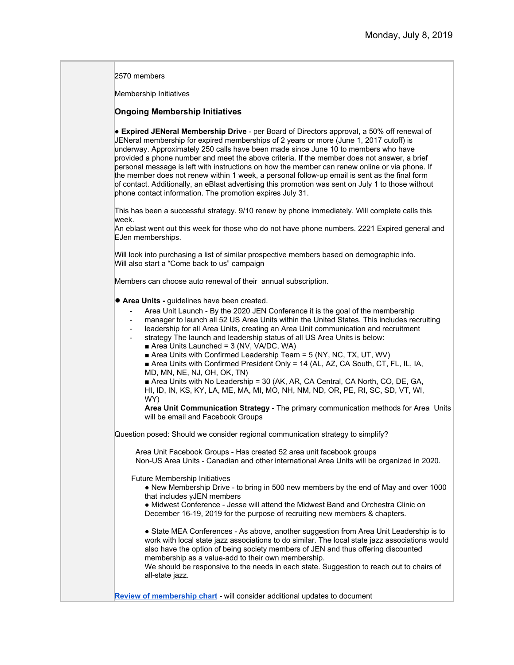2570 members

Membership Initiatives

#### **Ongoing Membership Initiatives**

● **Expired JENeral Membership Drive** - per Board of Directors approval, a 50% off renewal of JENeral membership for expired memberships of 2 years or more (June 1, 2017 cutoff) is underway. Approximately 250 calls have been made since June 10 to members who have provided a phone number and meet the above criteria. If the member does not answer, a brief personal message is left with instructions on how the member can renew online or via phone. If the member does not renew within 1 week, a personal follow-up email is sent as the final form of contact. Additionally, an eBlast advertising this promotion was sent on July 1 to those without phone contact information. The promotion expires July 31.

This has been a successful strategy. 9/10 renew by phone immediately. Will complete calls this week.

An eblast went out this week for those who do not have phone numbers. 2221 Expired general and EJen memberships.

Will look into purchasing a list of similar prospective members based on demographic info. Will also start a "Come back to us" campaign

Members can choose auto renewal of their annual subscription.

- **Area Units** guidelines have been created.
	- Area Unit Launch By the 2020 JEN Conference it is the goal of the membership
	- manager to launch all 52 US Area Units within the United States. This includes recruiting
	- leadership for all Area Units, creating an Area Unit communication and recruitment
	- strategy The launch and leadership status of all US Area Units is below:
		- $\blacksquare$  Area Units Launched = 3 (NV, VA/DC, WA)
		- $\blacksquare$  Area Units with Confirmed Leadership Team = 5 (NY, NC, TX, UT, WV)
		- Area Units with Confirmed President Only = 14 (AL, AZ, CA South, CT, FL, IL, IA, MD, MN, NE, NJ, OH, OK, TN)

■ Area Units with No Leadership = 30 (AK, AR, CA Central, CA North, CO, DE, GA, HI, ID, IN, KS, KY, LA, ME, MA, MI, MO, NH, NM, ND, OR, PE, RI, SC, SD, VT, WI, WY)

**Area Unit Communication Strategy** - The primary communication methods for Area Units will be email and Facebook Groups

Question posed: Should we consider regional communication strategy to simplify?

 Area Unit Facebook Groups - Has created 52 area unit facebook groups Non-US Area Units - Canadian and other international Area Units will be organized in 2020.

Future Membership Initiatives

• New Membership Drive - to bring in 500 new members by the end of May and over 1000 that includes yJEN members

● Midwest Conference - Jesse will attend the Midwest Band and Orchestra Clinic on December 16-19, 2019 for the purpose of recruiting new members & chapters.

● State MEA Conferences - As above, another suggestion from Area Unit Leadership is to work with local state jazz associations to do similar. The local state jazz associations would also have the option of being society members of JEN and thus offering discounted membership as a value-add to their own membership.

We should be responsive to the needs in each state. Suggestion to reach out to chairs of all-state jazz.

**[Review of membership chart](https://drive.google.com/file/d/1IhrZg3QO0zNTricXWNbSeaiVCJnuP5sN/view) -** will consider additional updates to document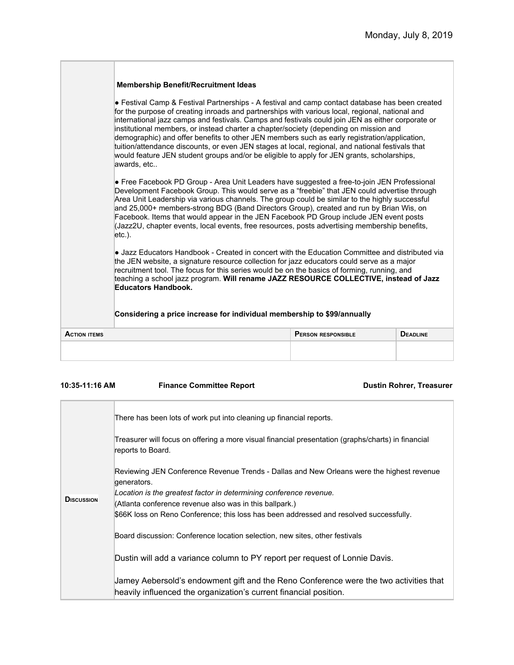|                     | <b>Membership Benefit/Recruitment Ideas</b>                                                                                                                                                                                                                                                                                                                                                                                                                                                                                                                                                                                                                                                                                                                                                                                                                                                                                                                                                                                                                                                                                                                                                                                                                                                                           |                           |                 |
|---------------------|-----------------------------------------------------------------------------------------------------------------------------------------------------------------------------------------------------------------------------------------------------------------------------------------------------------------------------------------------------------------------------------------------------------------------------------------------------------------------------------------------------------------------------------------------------------------------------------------------------------------------------------------------------------------------------------------------------------------------------------------------------------------------------------------------------------------------------------------------------------------------------------------------------------------------------------------------------------------------------------------------------------------------------------------------------------------------------------------------------------------------------------------------------------------------------------------------------------------------------------------------------------------------------------------------------------------------|---------------------------|-----------------|
|                     | • Festival Camp & Festival Partnerships - A festival and camp contact database has been created<br>for the purpose of creating inroads and partnerships with various local, regional, national and<br>international jazz camps and festivals. Camps and festivals could join JEN as either corporate or<br>institutional members, or instead charter a chapter/society (depending on mission and<br>demographic) and offer benefits to other JEN members such as early registration/application,<br>tuition/attendance discounts, or even JEN stages at local, regional, and national festivals that<br>would feature JEN student groups and/or be eligible to apply for JEN grants, scholarships,<br>awards, etc<br>• Free Facebook PD Group - Area Unit Leaders have suggested a free-to-join JEN Professional<br>Development Facebook Group. This would serve as a "freebie" that JEN could advertise through<br>Area Unit Leadership via various channels. The group could be similar to the highly successful<br>and 25,000+ members-strong BDG (Band Directors Group), created and run by Brian Wis, on<br>Facebook. Items that would appear in the JEN Facebook PD Group include JEN event posts<br>(Jazz2U, chapter events, local events, free resources, posts advertising membership benefits,<br>$etc.$ ). |                           |                 |
|                     |                                                                                                                                                                                                                                                                                                                                                                                                                                                                                                                                                                                                                                                                                                                                                                                                                                                                                                                                                                                                                                                                                                                                                                                                                                                                                                                       |                           |                 |
|                     | • Jazz Educators Handbook - Created in concert with the Education Committee and distributed via<br>the JEN website, a signature resource collection for jazz educators could serve as a major<br>recruitment tool. The focus for this series would be on the basics of forming, running, and<br>teaching a school jazz program. Will rename JAZZ RESOURCE COLLECTIVE, instead of Jazz<br><b>Educators Handbook.</b>                                                                                                                                                                                                                                                                                                                                                                                                                                                                                                                                                                                                                                                                                                                                                                                                                                                                                                   |                           |                 |
|                     | Considering a price increase for individual membership to \$99/annually                                                                                                                                                                                                                                                                                                                                                                                                                                                                                                                                                                                                                                                                                                                                                                                                                                                                                                                                                                                                                                                                                                                                                                                                                                               |                           |                 |
| <b>ACTION ITEMS</b> |                                                                                                                                                                                                                                                                                                                                                                                                                                                                                                                                                                                                                                                                                                                                                                                                                                                                                                                                                                                                                                                                                                                                                                                                                                                                                                                       | <b>PERSON RESPONSIBLE</b> | <b>DEADLINE</b> |
|                     |                                                                                                                                                                                                                                                                                                                                                                                                                                                                                                                                                                                                                                                                                                                                                                                                                                                                                                                                                                                                                                                                                                                                                                                                                                                                                                                       |                           |                 |
|                     |                                                                                                                                                                                                                                                                                                                                                                                                                                                                                                                                                                                                                                                                                                                                                                                                                                                                                                                                                                                                                                                                                                                                                                                                                                                                                                                       |                           |                 |

**10:35-11:16 AM Finance Committee Report Dustin Rohrer, Treasurer**

| <b>DISCUSSION</b> | There has been lots of work put into cleaning up financial reports.                                                                                                                                                                                                                                                                 |
|-------------------|-------------------------------------------------------------------------------------------------------------------------------------------------------------------------------------------------------------------------------------------------------------------------------------------------------------------------------------|
|                   | Treasurer will focus on offering a more visual financial presentation (graphs/charts) in financial<br>reports to Board.                                                                                                                                                                                                             |
|                   | Reviewing JEN Conference Revenue Trends - Dallas and New Orleans were the highest revenue<br>generators.<br>Location is the greatest factor in determining conference revenue.<br>(Atlanta conference revenue also was in this ballpark.)<br>\$66K loss on Reno Conference; this loss has been addressed and resolved successfully. |
|                   | Board discussion: Conference location selection, new sites, other festivals                                                                                                                                                                                                                                                         |
|                   | Dustin will add a variance column to PY report per request of Lonnie Davis.<br>Jamey Aebersold's endowment gift and the Reno Conference were the two activities that<br>heavily influenced the organization's current financial position.                                                                                           |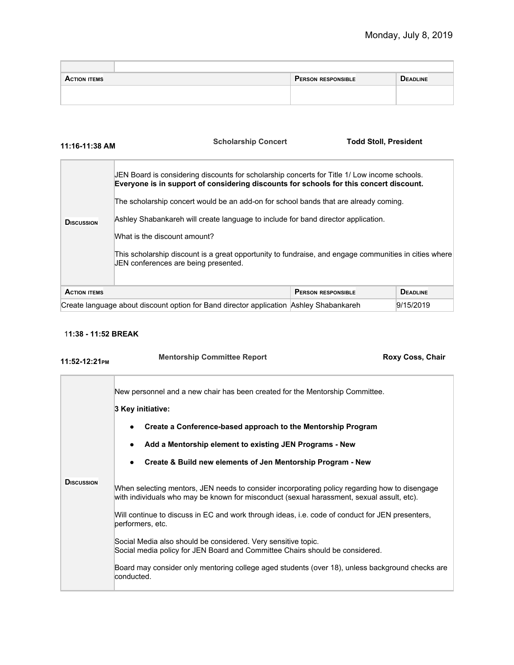| <b>ACTION ITEMS</b> | <b>PERSON RESPONSIBLE</b> | <b>DEADLINE</b> |
|---------------------|---------------------------|-----------------|
|                     |                           |                 |
|                     |                           |                 |

|  |  |  | 11:16-11:38 AM |  |
|--|--|--|----------------|--|
|--|--|--|----------------|--|

## **11:16-11:38 AM Scholarship Concert Todd Stoll, President**

| <b>DISCUSSION</b>                                                                      | JEN Board is considering discounts for scholarship concerts for Title 1/ Low income schools.<br>Everyone is in support of considering discounts for schools for this concert discount.<br>The scholarship concert would be an add-on for school bands that are already coming.<br>Ashley Shabankareh will create language to include for band director application.<br>What is the discount amount?<br>This scholarship discount is a great opportunity to fundraise, and engage communities in cities where<br>JEN conferences are being presented. |                           |                 |
|----------------------------------------------------------------------------------------|------------------------------------------------------------------------------------------------------------------------------------------------------------------------------------------------------------------------------------------------------------------------------------------------------------------------------------------------------------------------------------------------------------------------------------------------------------------------------------------------------------------------------------------------------|---------------------------|-----------------|
| <b>ACTION ITEMS</b>                                                                    |                                                                                                                                                                                                                                                                                                                                                                                                                                                                                                                                                      | <b>PERSON RESPONSIBLE</b> | <b>DEADLINE</b> |
| Create language about discount option for Band director application Ashley Shabankareh |                                                                                                                                                                                                                                                                                                                                                                                                                                                                                                                                                      |                           | 9/15/2019       |

#### 1**1:38 - 11:52 BREAK**

| 11:52-12:21PM      | <b>Mentorship Committee Report</b>                                                                                                                                                         | Roxy Coss, Chair |  |  |
|--------------------|--------------------------------------------------------------------------------------------------------------------------------------------------------------------------------------------|------------------|--|--|
|                    | New personnel and a new chair has been created for the Mentorship Committee.                                                                                                               |                  |  |  |
|                    | 3 Key initiative:                                                                                                                                                                          |                  |  |  |
|                    | Create a Conference-based approach to the Mentorship Program                                                                                                                               |                  |  |  |
|                    | Add a Mentorship element to existing JEN Programs - New                                                                                                                                    |                  |  |  |
|                    | Create & Build new elements of Jen Mentorship Program - New                                                                                                                                |                  |  |  |
| <b>D</b> ISCUSSION | When selecting mentors, JEN needs to consider incorporating policy regarding how to disengage<br>with individuals who may be known for misconduct (sexual harassment, sexual assult, etc). |                  |  |  |
|                    | Will continue to discuss in EC and work through ideas, i.e. code of conduct for JEN presenters,<br>performers, etc.                                                                        |                  |  |  |
|                    | Social Media also should be considered. Very sensitive topic.<br>Social media policy for JEN Board and Committee Chairs should be considered.                                              |                  |  |  |
|                    | Board may consider only mentoring college aged students (over 18), unless background checks are<br>conducted.                                                                              |                  |  |  |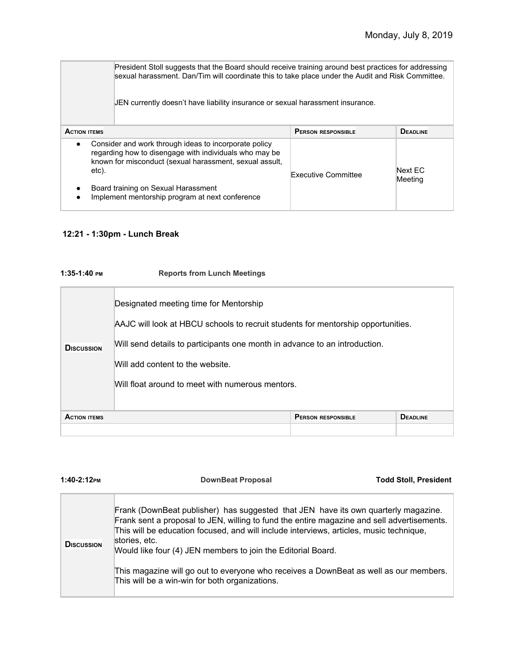| President Stoll suggests that the Board should receive training around best practices for addressing<br>sexual harassment. Dan/Tim will coordinate this to take place under the Audit and Risk Committee.<br>JEN currently doesn't have liability insurance or sexual harassment insurance. |                                                                                                                                                                                                                                                                      |                            |                    |
|---------------------------------------------------------------------------------------------------------------------------------------------------------------------------------------------------------------------------------------------------------------------------------------------|----------------------------------------------------------------------------------------------------------------------------------------------------------------------------------------------------------------------------------------------------------------------|----------------------------|--------------------|
| <b>ACTION ITEMS</b>                                                                                                                                                                                                                                                                         |                                                                                                                                                                                                                                                                      | <b>PERSON RESPONSIBLE</b>  | <b>DEADLINE</b>    |
| $\bullet$<br>etc).<br>٠                                                                                                                                                                                                                                                                     | Consider and work through ideas to incorporate policy<br>regarding how to disengage with individuals who may be<br>known for misconduct (sexual harassment, sexual assult,<br>Board training on Sexual Harassment<br>Implement mentorship program at next conference | <b>Executive Committee</b> | Next EC<br>Meeting |

## **12:21 - 1:30pm - Lunch Break**

| 1:35-1:40 PM        | <b>Reports from Lunch Meetings</b>                                                                                                                                                                                                                                                               |                           |                 |
|---------------------|--------------------------------------------------------------------------------------------------------------------------------------------------------------------------------------------------------------------------------------------------------------------------------------------------|---------------------------|-----------------|
| <b>DISCUSSION</b>   | Designated meeting time for Mentorship<br>AAJC will look at HBCU schools to recruit students for mentorship opportunities.<br>Will send details to participants one month in advance to an introduction.<br>Will add content to the website.<br>Will float around to meet with numerous mentors. |                           |                 |
| <b>ACTION ITEMS</b> |                                                                                                                                                                                                                                                                                                  | <b>PERSON RESPONSIBLE</b> | <b>DEADLINE</b> |
|                     |                                                                                                                                                                                                                                                                                                  |                           |                 |

| 1:40-2:12PM       | <b>DownBeat Proposal</b>                                                                                                                                                                                                                                                                                                                                                                                                                                                                                | <b>Todd Stoll, President</b> |
|-------------------|---------------------------------------------------------------------------------------------------------------------------------------------------------------------------------------------------------------------------------------------------------------------------------------------------------------------------------------------------------------------------------------------------------------------------------------------------------------------------------------------------------|------------------------------|
| <b>DISCUSSION</b> | Frank (DownBeat publisher) has suggested that JEN have its own quarterly magazine.<br>Frank sent a proposal to JEN, willing to fund the entire magazine and sell advertisements.<br>This will be education focused, and will include interviews, articles, music technique,<br>stories, etc.<br>Would like four (4) JEN members to join the Editorial Board.<br>This magazine will go out to everyone who receives a DownBeat as well as our members.<br>This will be a win-win for both organizations. |                              |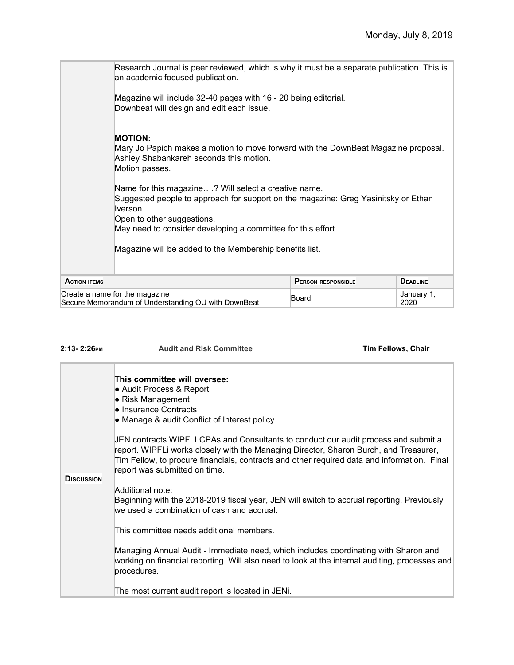|                     | Research Journal is peer reviewed, which is why it must be a separate publication. This is<br>an academic focused publication.                                                                                                                      |                           |                    |  |  |
|---------------------|-----------------------------------------------------------------------------------------------------------------------------------------------------------------------------------------------------------------------------------------------------|---------------------------|--------------------|--|--|
|                     | Magazine will include 32-40 pages with 16 - 20 being editorial.<br>Downbeat will design and edit each issue.                                                                                                                                        |                           |                    |  |  |
|                     | <b>MOTION:</b><br>Mary Jo Papich makes a motion to move forward with the DownBeat Magazine proposal.<br>Ashley Shabankareh seconds this motion.<br>Motion passes.                                                                                   |                           |                    |  |  |
|                     | Name for this magazine? Will select a creative name.<br>Suggested people to approach for support on the magazine: Greg Yasinitsky or Ethan<br>Iverson<br>Open to other suggestions.<br>May need to consider developing a committee for this effort. |                           |                    |  |  |
|                     | Magazine will be added to the Membership benefits list.                                                                                                                                                                                             |                           |                    |  |  |
| <b>ACTION ITEMS</b> |                                                                                                                                                                                                                                                     | <b>PERSON RESPONSIBLE</b> | <b>DEADLINE</b>    |  |  |
|                     | Create a name for the magazine<br>Secure Memorandum of Understanding OU with DownBeat                                                                                                                                                               | Board                     | January 1,<br>2020 |  |  |

| 2:13-2:26PM        | <b>Audit and Risk Committee</b>                                                                                                                                                                                                                                                                              | <b>Tim Fellows, Chair</b> |
|--------------------|--------------------------------------------------------------------------------------------------------------------------------------------------------------------------------------------------------------------------------------------------------------------------------------------------------------|---------------------------|
|                    | This committee will oversee:<br>• Audit Process & Report<br>• Risk Management<br>• Insurance Contracts<br>• Manage & audit Conflict of Interest policy                                                                                                                                                       |                           |
|                    | JEN contracts WIPFLI CPAs and Consultants to conduct our audit process and submit a<br>report. WIPFLi works closely with the Managing Director, Sharon Burch, and Treasurer,<br>Tim Fellow, to procure financials, contracts and other required data and information. Final<br>report was submitted on time. |                           |
| <b>D</b> ISCUSSION | Additional note:<br>Beginning with the 2018-2019 fiscal year, JEN will switch to accrual reporting. Previously<br>we used a combination of cash and accrual.                                                                                                                                                 |                           |
|                    | This committee needs additional members.                                                                                                                                                                                                                                                                     |                           |
|                    | Managing Annual Audit - Immediate need, which includes coordinating with Sharon and<br>working on financial reporting. Will also need to look at the internal auditing, processes and<br>procedures.                                                                                                         |                           |
|                    | The most current audit report is located in JENi.                                                                                                                                                                                                                                                            |                           |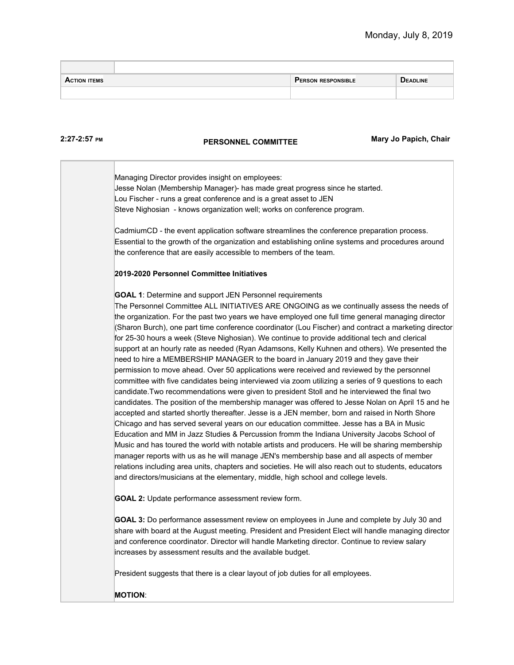| <b>ACTION ITEMS</b> | <b>PERSON RESPONSIBLE</b> | <b>DEADLINE</b> |
|---------------------|---------------------------|-----------------|
|                     |                           |                 |

#### **2:27-2:57 PM**

## **PERSONNEL COMMITTEE** Mary Jo Papich, Chair

Managing Director provides insight on employees: Jesse Nolan (Membership Manager)- has made great progress since he started. Lou Fischer - runs a great conference and is a great asset to JEN Steve Nighosian - knows organization well; works on conference program. CadmiumCD - the event application software streamlines the conference preparation process. Essential to the growth of the organization and establishing online systems and procedures around the conference that are easily accessible to members of the team. **2019-2020 Personnel Committee Initiatives GOAL 1**: Determine and support JEN Personnel requirements The Personnel Committee ALL INITIATIVES ARE ONGOING as we continually assess the needs of the organization. For the past two years we have employed one full time general managing director (Sharon Burch), one part time conference coordinator (Lou Fischer) and contract a marketing director for 25-30 hours a week (Steve Nighosian). We continue to provide additional tech and clerical support at an hourly rate as needed (Ryan Adamsons, Kelly Kuhnen and others). We presented the need to hire a MEMBERSHIP MANAGER to the board in January 2019 and they gave their permission to move ahead. Over 50 applications were received and reviewed by the personnel committee with five candidates being interviewed via zoom utilizing a series of 9 questions to each candidate.Two recommendations were given to president Stoll and he interviewed the final two candidates. The position of the membership manager was offered to Jesse Nolan on April 15 and he accepted and started shortly thereafter. Jesse is a JEN member, born and raised in North Shore Chicago and has served several years on our education committee. Jesse has a BA in Music Education and MM in Jazz Studies & Percussion fromm the Indiana University Jacobs School of Music and has toured the world with notable artists and producers. He will be sharing membership manager reports with us as he will manage JEN's membership base and all aspects of member relations including area units, chapters and societies. He will also reach out to students, educators and directors/musicians at the elementary, middle, high school and college levels. **GOAL 2:** Update performance assessment review form. **GOAL 3:** Do performance assessment review on employees in June and complete by July 30 and share with board at the August meeting. President and President Elect will handle managing director and conference coordinator. Director will handle Marketing director. Continue to review salary increases by assessment results and the available budget. President suggests that there is a clear layout of job duties for all employees. **MOTION**: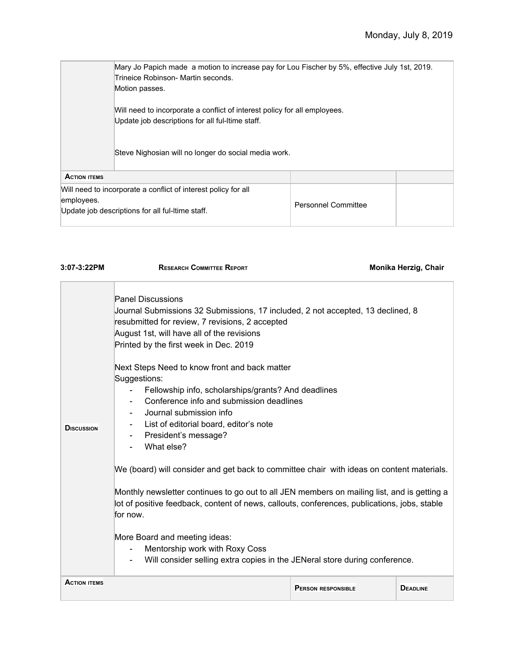|                                                                                                                                  | Mary Jo Papich made a motion to increase pay for Lou Fischer by 5%, effective July 1st, 2019.<br>Trineice Robinson- Martin seconds.<br>Motion passes. |                            |  |  |  |
|----------------------------------------------------------------------------------------------------------------------------------|-------------------------------------------------------------------------------------------------------------------------------------------------------|----------------------------|--|--|--|
|                                                                                                                                  | Will need to incorporate a conflict of interest policy for all employees.<br>Update job descriptions for all ful-Itime staff.                         |                            |  |  |  |
|                                                                                                                                  | Steve Nighosian will no longer do social media work.                                                                                                  |                            |  |  |  |
| <b>ACTION ITEMS</b>                                                                                                              |                                                                                                                                                       |                            |  |  |  |
| Will need to incorporate a conflict of interest policy for all<br>employees.<br>Update job descriptions for all ful-Itime staff. |                                                                                                                                                       | <b>Personnel Committee</b> |  |  |  |

| 3:07-3:22PM         | <b>RESEARCH COMMITTEE REPORT</b>                                                                                                                                                                                                                                                                                        |                           | Monika Herzig, Chair |  |
|---------------------|-------------------------------------------------------------------------------------------------------------------------------------------------------------------------------------------------------------------------------------------------------------------------------------------------------------------------|---------------------------|----------------------|--|
| <b>D</b> ISCUSSION  | <b>Panel Discussions</b><br>Journal Submissions 32 Submissions, 17 included, 2 not accepted, 13 declined, 8<br>resubmitted for review, 7 revisions, 2 accepted<br>August 1st, will have all of the revisions<br>Printed by the first week in Dec. 2019<br>Next Steps Need to know front and back matter<br>Suggestions: |                           |                      |  |
|                     | Fellowship info, scholarships/grants? And deadlines<br>Conference info and submission deadlines<br>Journal submission info<br>List of editorial board, editor's note<br>President's message?<br>$\blacksquare$<br>What else?                                                                                            |                           |                      |  |
|                     | We (board) will consider and get back to committee chair with ideas on content materials.<br>Monthly newsletter continues to go out to all JEN members on mailing list, and is getting a<br>lot of positive feedback, content of news, callouts, conferences, publications, jobs, stable<br>for now.                    |                           |                      |  |
|                     | More Board and meeting ideas:<br>Mentorship work with Roxy Coss<br>Will consider selling extra copies in the JENeral store during conference.                                                                                                                                                                           |                           |                      |  |
| <b>ACTION ITEMS</b> |                                                                                                                                                                                                                                                                                                                         | <b>PERSON RESPONSIBLE</b> | <b>DEADLINE</b>      |  |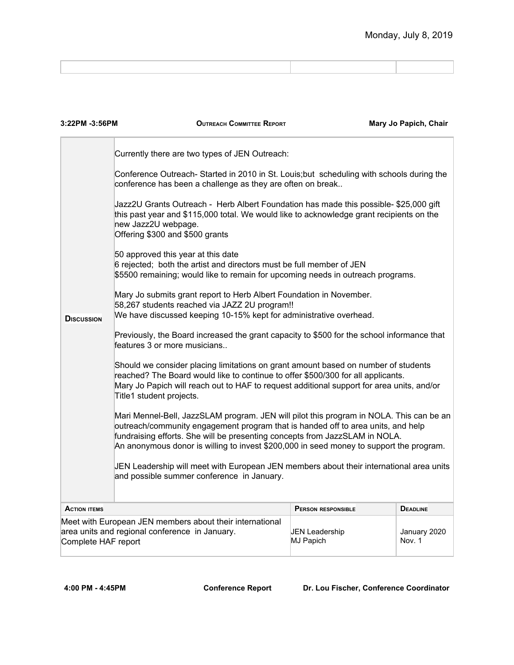| 3:22PM -3:56PM                                                                                                                        | <b>OUTREACH COMMITTEE REPORT</b>                                                                                                                                                                                                                                                                                                                      |                             | Mary Jo Papich, Chair  |  |
|---------------------------------------------------------------------------------------------------------------------------------------|-------------------------------------------------------------------------------------------------------------------------------------------------------------------------------------------------------------------------------------------------------------------------------------------------------------------------------------------------------|-----------------------------|------------------------|--|
|                                                                                                                                       | Currently there are two types of JEN Outreach:                                                                                                                                                                                                                                                                                                        |                             |                        |  |
|                                                                                                                                       | Conference Outreach-Started in 2010 in St. Louis; but scheduling with schools during the<br>conference has been a challenge as they are often on break                                                                                                                                                                                                |                             |                        |  |
|                                                                                                                                       | Jazz2U Grants Outreach - Herb Albert Foundation has made this possible- \$25,000 gift<br>this past year and \$115,000 total. We would like to acknowledge grant recipients on the<br>new Jazz2U webpage.<br>Offering \$300 and \$500 grants                                                                                                           |                             |                        |  |
|                                                                                                                                       | 50 approved this year at this date<br>6 rejected; both the artist and directors must be full member of JEN<br>\$5500 remaining; would like to remain for upcoming needs in outreach programs.                                                                                                                                                         |                             |                        |  |
| <b>DISCUSSION</b>                                                                                                                     | Mary Jo submits grant report to Herb Albert Foundation in November.<br>58,267 students reached via JAZZ 2U program!!<br>We have discussed keeping 10-15% kept for administrative overhead.                                                                                                                                                            |                             |                        |  |
|                                                                                                                                       | Previously, the Board increased the grant capacity to \$500 for the school informance that<br>features 3 or more musicians                                                                                                                                                                                                                            |                             |                        |  |
|                                                                                                                                       | Should we consider placing limitations on grant amount based on number of students<br>reached? The Board would like to continue to offer \$500/300 for all applicants.<br>Mary Jo Papich will reach out to HAF to request additional support for area units, and/or<br>Title1 student projects.                                                       |                             |                        |  |
|                                                                                                                                       | Mari Mennel-Bell, JazzSLAM program. JEN will pilot this program in NOLA. This can be an<br>outreach/community engagement program that is handed off to area units, and help<br>fundraising efforts. She will be presenting concepts from JazzSLAM in NOLA.<br>An anonymous donor is willing to invest \$200,000 in seed money to support the program. |                             |                        |  |
| JEN Leadership will meet with European JEN members about their international area units<br>and possible summer conference in January. |                                                                                                                                                                                                                                                                                                                                                       |                             |                        |  |
| <b>ACTION ITEMS</b>                                                                                                                   |                                                                                                                                                                                                                                                                                                                                                       | <b>PERSON RESPONSIBLE</b>   | <b>DEADLINE</b>        |  |
| Complete HAF report                                                                                                                   | Meet with European JEN members about their international<br>area units and regional conference in January.                                                                                                                                                                                                                                            | JEN Leadership<br>MJ Papich | January 2020<br>Nov. 1 |  |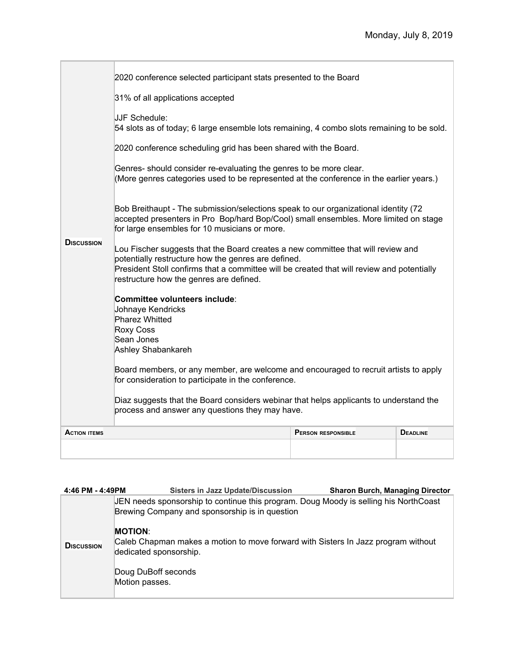| <b>D</b> iscussion  | 2020 conference selected participant stats presented to the Board<br>31% of all applications accepted<br>JJF Schedule:<br>54 slots as of today; 6 large ensemble lots remaining, 4 combo slots remaining to be sold.<br>2020 conference scheduling grid has been shared with the Board.<br>Genres-should consider re-evaluating the genres to be more clear.<br>(More genres categories used to be represented at the conference in the earlier years.)<br>Bob Breithaupt - The submission/selections speak to our organizational identity (72)<br>accepted presenters in Pro Bop/hard Bop/Cool) small ensembles. More limited on stage<br>for large ensembles for 10 musicians or more.<br>Lou Fischer suggests that the Board creates a new committee that will review and<br>potentially restructure how the genres are defined.<br>President Stoll confirms that a committee will be created that will review and potentially<br>restructure how the genres are defined.<br>Committee volunteers include:<br>Johnaye Kendricks<br>Pharez Whitted<br><b>Roxy Coss</b><br>Sean Jones<br>Ashley Shabankareh<br>Board members, or any member, are welcome and encouraged to recruit artists to apply<br>for consideration to participate in the conference.<br>Diaz suggests that the Board considers webinar that helps applicants to understand the<br>process and answer any questions they may have. |                           |                 |
|---------------------|----------------------------------------------------------------------------------------------------------------------------------------------------------------------------------------------------------------------------------------------------------------------------------------------------------------------------------------------------------------------------------------------------------------------------------------------------------------------------------------------------------------------------------------------------------------------------------------------------------------------------------------------------------------------------------------------------------------------------------------------------------------------------------------------------------------------------------------------------------------------------------------------------------------------------------------------------------------------------------------------------------------------------------------------------------------------------------------------------------------------------------------------------------------------------------------------------------------------------------------------------------------------------------------------------------------------------------------------------------------------------------------------------------|---------------------------|-----------------|
| <b>ACTION ITEMS</b> |                                                                                                                                                                                                                                                                                                                                                                                                                                                                                                                                                                                                                                                                                                                                                                                                                                                                                                                                                                                                                                                                                                                                                                                                                                                                                                                                                                                                          | <b>PERSON RESPONSIBLE</b> | <b>DEADLINE</b> |
|                     |                                                                                                                                                                                                                                                                                                                                                                                                                                                                                                                                                                                                                                                                                                                                                                                                                                                                                                                                                                                                                                                                                                                                                                                                                                                                                                                                                                                                          |                           |                 |

| 4:46 PM - 4:49PM  | <b>Sisters in Jazz Update/Discussion</b><br><b>Sharon Burch, Managing Director</b>                                                     |
|-------------------|----------------------------------------------------------------------------------------------------------------------------------------|
|                   | JEN needs sponsorship to continue this program. Doug Moody is selling his NorthCoast<br>Brewing Company and sponsorship is in question |
| <b>DISCUSSION</b> | <b>MOTION:</b><br>Caleb Chapman makes a motion to move forward with Sisters In Jazz program without<br>dedicated sponsorship.          |
|                   | Doug DuBoff seconds<br>Motion passes.                                                                                                  |